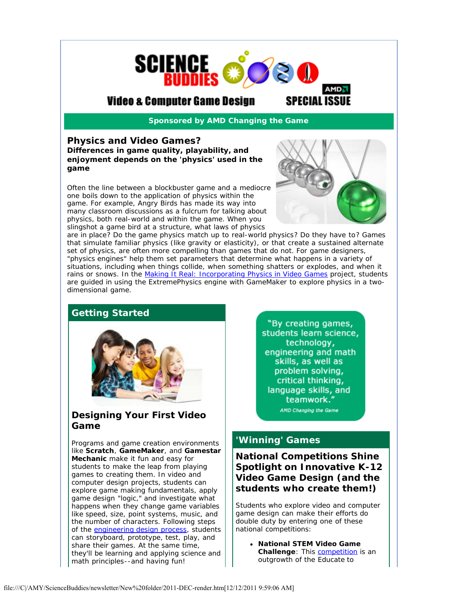

# Video & Computer Game Design

*Sponsored by AMD Changing the Game*

#### **Physics and Video Games?** *Differences in game quality, playability, and enjoyment depends on the 'physics' used in the game*

Often the line between a blockbuster game and a mediocre one boils down to the application of physics within the game. For example, Angry Birds has made its way into many classroom discussions as a fulcrum for talking about physics, both real-world and within the game. When you slingshot a game bird at a structure, what laws of physics



are in place? Do the game physics match up to real-world physics? Do they have to? Games that simulate familiar physics (like gravity or elasticity), or that create a sustained alternate set of physics, are often more compelling than games that do not. For game designers, "physics engines" help them set parameters that determine what happens in a variety of situations, including when things collide, when something shatters or explodes, and when it rains or snows. In the [Making It Real: Incorporating Physics in Video Games](http://r20.rs6.net/tn.jsp?llr=yzhoezcab&et=1108939305674&s=2&e=001uGPiNoYP5E-4ZaJ9CRGFc4059yOhfxCeHAAcwr4ZoVi4wV2hIqt5u56vn33ChwywsoDIR4fIX7UYr4LYLDiXL5-jwGd7YwsbYzb-y1RK0dl-XtyhAUgMeKeVG29M07uky9FhEvj8sRNMq707iHTo5B3onRcYYOFogZmRJFsVNVnURp_sMi1BPWtPfowT8hLVtuvGyO0IHyI=) project, students are guided in using the ExtremePhysics engine with GameMaker to explore physics in a twodimensional game.

### **Getting Started**



### **Designing Your** *First* **Video Game**

Programs and game creation environments like **Scratch**, **GameMaker**, and **Gamestar Mechanic** make it fun and easy for students to make the leap from *playing* games to *creating* them. In video and computer design projects, students can explore game making fundamentals, apply game design "logic," and investigate what happens when they change game variables like speed, size, point systems, music, and the number of characters. Following steps of the [engineering design process,](http://r20.rs6.net/tn.jsp?llr=yzhoezcab&et=1108939305674&s=2&e=001uGPiNoYP5E9n24lE0WwOmsIsOtboy7K2cbDd8QtR0LL743sivl73zg1VgNJsNF8oirW0QdXL98BaI5RFYI8oo-twBTX6IR9AEii2XivE1HD69uc89gGQFwIT1bRTWFO94-cFlVErIVBf8_jhCzsJqFTWnnPPVsq3AaZd-d5sd4j228pK0IxgyQCu2y61vA-xK1fPXqfJVHYQbn1UlKN9CcjoYInHItXQaAoKLwXiIss=) students can storyboard, prototype, test, play, and share their games. At the same time, they'll be learning and applying science and math principles--and having fun!

"By creating games, students learn science, technology, engineering and math skills, as well as problem solving, critical thinking, language skills, and teamwork." AMD Changing the Game

### **'Winning' Games**

**National Competitions Shine Spotlight on Innovative K-12 Video Game Design** *(and the students who create them!)*

Students who explore video and computer game design can make their efforts do double duty by entering one of these national competitions:

**National STEM Video Game Challenge:** This **competition** is an outgrowth of the Educate to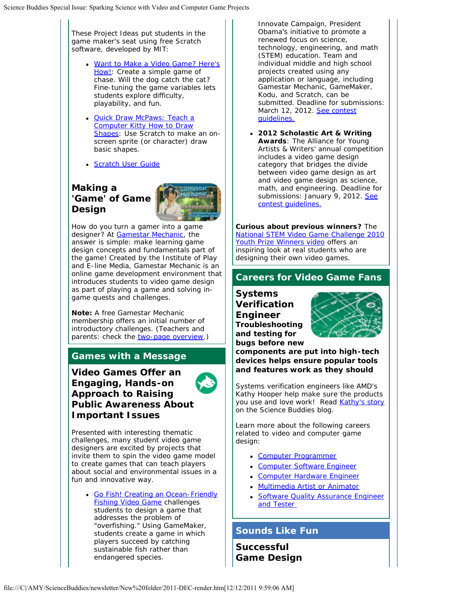These Project Ideas put students in the game maker's seat using free Scratch software, developed by MIT:

- [Want to Make a Video Game? Here's](http://r20.rs6.net/tn.jsp?llr=yzhoezcab&et=1108939305674&s=2&e=001uGPiNoYP5E9Gtz5OM9D8VSx9XFHeZz0kuRiuI2TcclLLJJsvFCPB-OwC2PGRJaXTjUCBLdIT4-LJruqlWZ7HvUqYSwQSct5TuAEIvmR3Dl5vNY8XA_BcX604sCOBbz24ZGQl0VOJY6sOd93PRRIPwT3J8RhLvPH14UA2O2o4X1Iu3tUJ1vTMDO2O6vpwKBvqLTbQU3iBBhlV3tjPNp2YveFN91-_mqEq) [How!:](http://r20.rs6.net/tn.jsp?llr=yzhoezcab&et=1108939305674&s=2&e=001uGPiNoYP5E9Gtz5OM9D8VSx9XFHeZz0kuRiuI2TcclLLJJsvFCPB-OwC2PGRJaXTjUCBLdIT4-LJruqlWZ7HvUqYSwQSct5TuAEIvmR3Dl5vNY8XA_BcX604sCOBbz24ZGQl0VOJY6sOd93PRRIPwT3J8RhLvPH14UA2O2o4X1Iu3tUJ1vTMDO2O6vpwKBvqLTbQU3iBBhlV3tjPNp2YveFN91-_mqEq) Create a simple game of chase. *Will the dog catch the cat?* Fine-tuning the game variables lets students explore difficulty, playability, and fun.
- **[Quick Draw McPaws: Teach a](http://r20.rs6.net/tn.jsp?llr=yzhoezcab&et=1108939305674&s=2&e=001uGPiNoYP5E95mD1MSwQWr78P5R1LI39bj-8B0uOQ-uk187USRJAnHTRrhUHigfBFb9FGvrpouBB_5pOLEfM66dKO9mhtDLKbvoTeFO78P4RZQvFolTrJCISgQBkZrZani5i5hYMFhI0dzXuqK6-IKSBYyQtITZHiOjXd6qUsOArdW_PWyTvRq-WtliP7y5RtPKow2AmxbkJI9VIDj2hG9JvsSxTtU76c)** [Computer Kitty How to Draw](http://r20.rs6.net/tn.jsp?llr=yzhoezcab&et=1108939305674&s=2&e=001uGPiNoYP5E95mD1MSwQWr78P5R1LI39bj-8B0uOQ-uk187USRJAnHTRrhUHigfBFb9FGvrpouBB_5pOLEfM66dKO9mhtDLKbvoTeFO78P4RZQvFolTrJCISgQBkZrZani5i5hYMFhI0dzXuqK6-IKSBYyQtITZHiOjXd6qUsOArdW_PWyTvRq-WtliP7y5RtPKow2AmxbkJI9VIDj2hG9JvsSxTtU76c) [Shapes:](http://r20.rs6.net/tn.jsp?llr=yzhoezcab&et=1108939305674&s=2&e=001uGPiNoYP5E95mD1MSwQWr78P5R1LI39bj-8B0uOQ-uk187USRJAnHTRrhUHigfBFb9FGvrpouBB_5pOLEfM66dKO9mhtDLKbvoTeFO78P4RZQvFolTrJCISgQBkZrZani5i5hYMFhI0dzXuqK6-IKSBYyQtITZHiOjXd6qUsOArdW_PWyTvRq-WtliP7y5RtPKow2AmxbkJI9VIDj2hG9JvsSxTtU76c) Use Scratch to make an onscreen sprite (or character) draw basic shapes.
- Scratch User Guide

## **Making a 'Game' of Game Design**



How do you turn a gamer into a game designer? At [Gamestar Mechanic,](http://r20.rs6.net/tn.jsp?llr=yzhoezcab&et=1108939305674&s=2&e=001uGPiNoYP5E-g40oKoh6-1qGys-XQyHpJzIea80DkIOBbc36Qo4uSzgcep3Mq3LCbYK46rMZkB48qm936_3TD4X7JZYBQlSuFxQd6ORDxq48esRwsXWg4IQ==) the answer is simple: make learning game design concepts and fundamentals *part of the game*! Created by the Institute of Play and E-line Media, Gamestar Mechanic is an online game development environment that introduces students to video game design as part of playing a game and solving ingame quests and challenges.

**Note:** A *free* Gamestar Mechanic membership offers an initial number of introductory challenges. (Teachers and parents: check the [two-page overview.](http://r20.rs6.net/tn.jsp?llr=yzhoezcab&et=1108939305674&s=2&e=001uGPiNoYP5E9QwccsMP8D5U_TdOQRHZfvi93qee9_SPbcarQL880eW8mUz5EBl5RgBIEOFBhEe5Bpe9uG3Sr40oz0_VbTF3ZkJuuedx24fh3_FoWYo0YtcUMkYH-1lfZd7cRfs84ADTAiuSmnXOeVi0hTz8U753Qs5Ole4q7CxFKLogs-iSghAA==))

### **Games with a Message**

**Video Games Offer an Engaging, Hands-on Approach to Raising Public Awareness About Important Issues**



Presented with interesting thematic challenges, many student video game designers are excited by projects that invite them to spin the video game model to create games that can teach players about social and environmental issues in a fun and innovative way.

[Go Fish! Creating an Ocean-Friendly](http://r20.rs6.net/tn.jsp?llr=yzhoezcab&et=1108939305674&s=2&e=001uGPiNoYP5E-bpM1g1Nj4whARt6wercaidmizCdcfoVKzI1QB0fMAJFnO-ahaCO3mkCbrlZNdlXCsUfQz4t9W6ucfwJ6FQ6ubcxFjcHnyI7Mf7ZeVDAVDnM-9HmY51-so4VBUhWKGMXJqtsucZuKKQXQFn27Xt8iE14ER9mtXdVsHA6KUzvZltHn-n15IvLrZZ1cQVsAcnligCS3PKQ0Z7b68WVAFmsdC) **[Fishing Video Game](http://r20.rs6.net/tn.jsp?llr=yzhoezcab&et=1108939305674&s=2&e=001uGPiNoYP5E-bpM1g1Nj4whARt6wercaidmizCdcfoVKzI1QB0fMAJFnO-ahaCO3mkCbrlZNdlXCsUfQz4t9W6ucfwJ6FQ6ubcxFjcHnyI7Mf7ZeVDAVDnM-9HmY51-so4VBUhWKGMXJqtsucZuKKQXQFn27Xt8iE14ER9mtXdVsHA6KUzvZltHn-n15IvLrZZ1cQVsAcnligCS3PKQ0Z7b68WVAFmsdC) challenges** students to design a game that addresses the problem of "overfishing." Using GameMaker, students create a game in which players succeed by catching sustainable fish rather than endangered species.

Innovate Campaign, President Obama's initiative to promote a renewed focus on science, technology, engineering, and math (STEM) education. Team and individual middle and high school projects created using any application or language, including Gamestar Mechanic, GameMaker, Kodu, and Scratch, can be submitted. Deadline for submissions: March 12, 2012. [See contest](http://r20.rs6.net/tn.jsp?llr=yzhoezcab&et=1108939305674&s=2&e=001uGPiNoYP5E8t0Wo3V2TY4L3uaqfpo_tK5TyJzYHnME-_ebGRzMqp8IHP_lp0PfVaCC7MUxfhx-Wk0sY_bGeJTHhenNpuCKuj0u2APiRvS5FR9IHVkFoNLo6Ysb6QYNPJENA4Hs8Bmee5sU57TPGri1bj9BjXoP3b) [guidelines.](http://r20.rs6.net/tn.jsp?llr=yzhoezcab&et=1108939305674&s=2&e=001uGPiNoYP5E8t0Wo3V2TY4L3uaqfpo_tK5TyJzYHnME-_ebGRzMqp8IHP_lp0PfVaCC7MUxfhx-Wk0sY_bGeJTHhenNpuCKuj0u2APiRvS5FR9IHVkFoNLo6Ysb6QYNPJENA4Hs8Bmee5sU57TPGri1bj9BjXoP3b) 

**2012 Scholastic Art & Writing Awards**: The Alliance for Young Artists & Writers' annual competition includes a video game design category that bridges the divide between video game design as art and video game design as science, math, and engineering. Deadline for submissions: January 9, 2012. [See](http://r20.rs6.net/tn.jsp?llr=yzhoezcab&et=1108939305674&s=2&e=001uGPiNoYP5E_zyN0qZ5ph4e9s6WCpWpM8c-K3mywZdb2RWN2vUyNYE5thl8GMYLHyoxqTcZzQtDAm9Qg-HT4ByllRwAGj0K4tPwgu3CluxaO2fDeTK1I671uyKQmbxzRfTB_lnMM-__N9PmTsu0rnIg==) [contest guidelines.](http://r20.rs6.net/tn.jsp?llr=yzhoezcab&et=1108939305674&s=2&e=001uGPiNoYP5E_zyN0qZ5ph4e9s6WCpWpM8c-K3mywZdb2RWN2vUyNYE5thl8GMYLHyoxqTcZzQtDAm9Qg-HT4ByllRwAGj0K4tPwgu3CluxaO2fDeTK1I671uyKQmbxzRfTB_lnMM-__N9PmTsu0rnIg==)

**Curious about previous winners?** The [National STEM Video Game Challenge 2010](http://r20.rs6.net/tn.jsp?llr=yzhoezcab&et=1108939305674&s=2&e=001uGPiNoYP5E8umUWKpAOzYhUTmWlcSxB7lmnQ--kCt2u4Qh7o9fgVZt7YQA9kL20XAX9juNZDigDoNrEgbhOQlMGIxi8EBdw1FnLliFiEuegzvl1LZGevkHUQRi8U1YNtTsjJGEoA9QNPNcbS0H9S7w==) [Youth Prize Winners video](http://r20.rs6.net/tn.jsp?llr=yzhoezcab&et=1108939305674&s=2&e=001uGPiNoYP5E8umUWKpAOzYhUTmWlcSxB7lmnQ--kCt2u4Qh7o9fgVZt7YQA9kL20XAX9juNZDigDoNrEgbhOQlMGIxi8EBdw1FnLliFiEuegzvl1LZGevkHUQRi8U1YNtTsjJGEoA9QNPNcbS0H9S7w==) offers an inspiring look at real students who are designing their own video games.

# **Careers for Video Game Fans**

**Systems Verification Engineer**

*and testing for*



*bugs before new components are put into high-tech devices helps ensure popular tools and features work as they should*

Systems verification engineers like AMD's Kathy Hooper help make sure the products you use and love work! Read [Kathy's story](http://r20.rs6.net/tn.jsp?llr=yzhoezcab&et=1108939305674&s=2&e=001uGPiNoYP5E9t1oEmzxkPOGaQrx1XxSYw9OC_znZeOVDF8lW0em3gw8Tw5ftzc0nCKyIKKE6ozhltKjxRLDKOwd6YBqTDghWgpz-uH7d2CqZOGSAU1bcFzD5o_hTHxaZ86j5Z9tjdvurkYRhsvPS-Nsz1icTirz_woVZ_JgYy7vEEYeA1BRnpf2wohQUD6xmVuIcMuSKWN5p74wU5fVcpKOlMmSAuBracxD6IdrM171k=) on the Science Buddies blog.

Learn more about the following careers related to video and computer game design:

- [Computer Programmer](http://r20.rs6.net/tn.jsp?llr=yzhoezcab&et=1108939305674&s=2&e=001uGPiNoYP5E8d4fp2qCoMJV4296OT1HJm4Xv44zKW0ycYHmRTIThTCo9DdxooGKEjtyrKcXxaeOaPbfRj2BzckwUo4JMbF4uyKPtoTAC4PJy4CSKF7YPsaLYxyC_7sKSDIBAVSatwhJKVC6AUfGOwEqD0rtYb5QBwAmRuR1srdzKMzsMZ0HBD-V4nrKlvU1G-Bi92GeIzBIjHVdbGpKMY_SXnZWGwClvpUnGnZXh-FnjaPtd6bdjs5MA5x3L2if0br_MiqjMDSBI=)
- **Computer Software Engineer**
- **[Computer Hardware Engineer](http://r20.rs6.net/tn.jsp?llr=yzhoezcab&et=1108939305674&s=2&e=001uGPiNoYP5E8fsRKgR0x3zoEYNti2rx7d2cuIMMtAuiCC6lPK85XBIfbAmPoWaUbTRo54YUpZEFrb5PbN_3pfRDDoSIqR1Jvr0A0EBVxIhhNCBXtrZl7QQLofhGMOhEMmAjf67IdAn6oP1QzdRBPKuFvld67nvo1v20gXQzHYsHaV9QQyhNXx0hnYW93vL7GGtwi4MvigNaf-bgt-J3-NDlLojtQ81JKhjVafD6p7DpvIEKLr_ehS7Fy-9t8yyR-sRTfXRraOczs-eobToC0rLQ==)**
- [Multimedia Artist or Animator](http://r20.rs6.net/tn.jsp?llr=yzhoezcab&et=1108939305674&s=2&e=001uGPiNoYP5E8NLzFkR4lzEjIsnZahW4XzHyuMLPXXyHfgXKoesioqjnQf9sS9iIkymgl3oEqgpcYz5-2WVwINFEBXvy9YdtlDX1_xeagc1O32uuOgj2rfWaGTq1EKj8DjCH7hibe4sLK3RrEZnZPv1quRAZab_mOZIcc1RrxwK5hMBUzf9B3y0gGE_6PWvGaStlfaIY2oSPMGO92RBW-LfBCZo_kX6IoM7--w7ywlE6HvoBUMitSad9qBLDwHyGSQoIRmVYrBzA1WExyDztlCjw==)
- [Software Quality Assurance Engineer](http://r20.rs6.net/tn.jsp?llr=yzhoezcab&et=1108939305674&s=2&e=001uGPiNoYP5E_7gekHO7M4UPyZQMkVme2rrqPLPMfce444f663t2CPk58TJz-o9MGRg5tU_kM1_2Y9TMCEE5MjNs8R-A8uvVQwetcA-CbsTUmM7rpEXOelMNOYf11Z_rGWrmuo6083lQNtaG8ThbsmsnMHDCNT6o8cWBitz7yOyRaKl2YG3qBeJeFW2iJwdqHdH5e2aw_g3dfMwVZ52rz25o0zeNeh7P58SJxric6qjcJrtG1oZm6hVvQAgEG9PX6-id3IKtJzL2vaPZutd2TcblA7OPOCewHqMOtisVKQHwU=) and Tester

### **Sounds Like Fun**

**Successful Game Design**

file:///C|/AMY/ScienceBuddies/newsletter/New%20folder/2011-DEC-render.htm[12/12/2011 9:59:06 AM]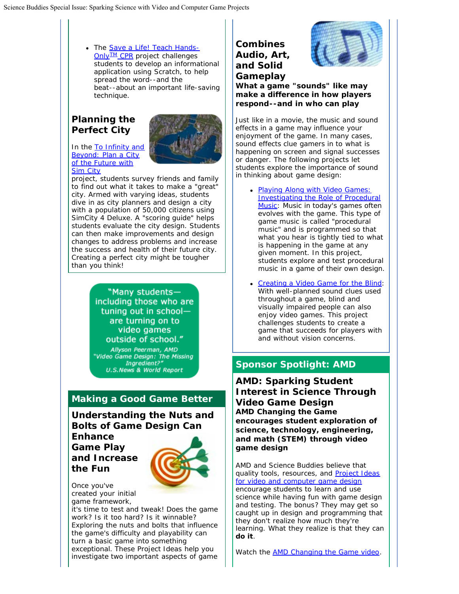• The [Save a Life! Teach Hands-](http://r20.rs6.net/tn.jsp?llr=yzhoezcab&et=1108939305674&s=2&e=001uGPiNoYP5E_aG7o1xmdvx67iGrJSk1LU9YBmh9Rtj8oKszvXv6SksjLCDW3LdKLCOH4pii8_Ibo5a-KSNwUECINRHbTXK61Zn70gYjF1PaXxWY4VktHV5V6M3WCwT8RpLzIFHatNoBtX66mfyMMbiMxd9LGire934U0Ejfmnu8YvsahGxWA5Ya6KDueX8PHZGbyRxXdffViqNwpIhsSsUGNHfqAYaW8Y)**[Only](http://r20.rs6.net/tn.jsp?llr=yzhoezcab&et=1108939305674&s=2&e=001uGPiNoYP5E_aG7o1xmdvx67iGrJSk1LU9YBmh9Rtj8oKszvXv6SksjLCDW3LdKLCOH4pii8_Ibo5a-KSNwUECINRHbTXK61Zn70gYjF1PaXxWY4VktHV5V6M3WCwT8RpLzIFHatNoBtX66mfyMMbiMxd9LGire934U0Ejfmnu8YvsahGxWA5Ya6KDueX8PHZGbyRxXdffViqNwpIhsSsUGNHfqAYaW8Y)™ CPR** project challenges students to develop an informational application using Scratch, to help spread the word--*and the beat*--about an important life-saving technique.

# **Planning the Perfect City**

In the [To Infinity and](http://r20.rs6.net/tn.jsp?llr=yzhoezcab&et=1108939305674&s=2&e=001uGPiNoYP5E_Zvm4giNPHmmTTvwqlX5ZegANgGLmf8Dbi_njyB2HbCr4SoMXGHeSCf6dBS0Fuq9Ik3F5ToXsImjbb9LlWkwFoRYOSWSf2UpAz6yULww9V26qp0uYf58H4cyQ1BWahoWT2_JpBaOT5Nw-EfQCBeKgvnkoqNdIxqKNVCAttOOpdVjxeV-6LotcxW7XT9WbswHvqDcuGvRksJP6XmDrJeSlu) [Beyond: Plan a City](http://r20.rs6.net/tn.jsp?llr=yzhoezcab&et=1108939305674&s=2&e=001uGPiNoYP5E_Zvm4giNPHmmTTvwqlX5ZegANgGLmf8Dbi_njyB2HbCr4SoMXGHeSCf6dBS0Fuq9Ik3F5ToXsImjbb9LlWkwFoRYOSWSf2UpAz6yULww9V26qp0uYf58H4cyQ1BWahoWT2_JpBaOT5Nw-EfQCBeKgvnkoqNdIxqKNVCAttOOpdVjxeV-6LotcxW7XT9WbswHvqDcuGvRksJP6XmDrJeSlu) [of the Future with](http://r20.rs6.net/tn.jsp?llr=yzhoezcab&et=1108939305674&s=2&e=001uGPiNoYP5E_Zvm4giNPHmmTTvwqlX5ZegANgGLmf8Dbi_njyB2HbCr4SoMXGHeSCf6dBS0Fuq9Ik3F5ToXsImjbb9LlWkwFoRYOSWSf2UpAz6yULww9V26qp0uYf58H4cyQ1BWahoWT2_JpBaOT5Nw-EfQCBeKgvnkoqNdIxqKNVCAttOOpdVjxeV-6LotcxW7XT9WbswHvqDcuGvRksJP6XmDrJeSlu) **[Sim City](http://r20.rs6.net/tn.jsp?llr=yzhoezcab&et=1108939305674&s=2&e=001uGPiNoYP5E_Zvm4giNPHmmTTvwqlX5ZegANgGLmf8Dbi_njyB2HbCr4SoMXGHeSCf6dBS0Fuq9Ik3F5ToXsImjbb9LlWkwFoRYOSWSf2UpAz6yULww9V26qp0uYf58H4cyQ1BWahoWT2_JpBaOT5Nw-EfQCBeKgvnkoqNdIxqKNVCAttOOpdVjxeV-6LotcxW7XT9WbswHvqDcuGvRksJP6XmDrJeSlu)** 



project, students survey friends and family to find out what it takes to make a "great" city. Armed with varying ideas, students dive in as city planners and design a city with a population of 50,000 citizens using SimCity 4 Deluxe. A "scoring guide" helps students evaluate the city design. Students can then make improvements and design changes to address problems and increase the success and health of their future city. *Creating a perfect city might be tougher than you think!*

> "Many studentsincluding those who are tuning out in schoolare turning on to video games outside of school."

Allyson Peerman, AMD "Video Game Design: The Missing<br>"Video Game Design: The Missing **U.S.News & World Report** 

# **Making a Good Game Better**

**Understanding the Nuts and Bolts of Game Design Can**

**Enhance Game Play and Increase the Fun**



Once you've created your initial game framework,

it's time to test and tweak! *Does the game work? Is it too hard? Is it winnable?* Exploring the nuts and bolts that influence the game's difficulty and playability can turn a basic game into something exceptional. These Project Ideas help you investigate two important aspects of game

**Combines Audio, Art, and Solid Gameplay**



*What a game "sounds" like may make a difference in how players respond--and in who can play*

Just like in a movie, the music and sound effects in a game may influence your enjoyment of the game. In many cases, sound effects clue gamers in to what is happening on screen and signal successes or danger. The following projects let students explore the importance of sound in thinking about game design:

- [Playing Along with Video Games:](http://r20.rs6.net/tn.jsp?llr=yzhoezcab&et=1108939305674&s=2&e=001uGPiNoYP5E-fKQoFKbV0f4cHtMTAliEZvvnWtzNSVdA-WfIaoDKwSUzXLqOEYTT_hsUr4t1iKReZ2iS_SSRq4LcHHWeVkHvZgsHyJsz9GIzdERLmEHh_qbh_aBZ2saoTOhXcVoUnn0pZN2IOKAOhxIQEiCNkNWXypVJPvhCcq-__UIeSW7kLDFjH1vrRYT5p-PPIpCsI0uw=) [Investigating the Role of Procedural](http://r20.rs6.net/tn.jsp?llr=yzhoezcab&et=1108939305674&s=2&e=001uGPiNoYP5E-fKQoFKbV0f4cHtMTAliEZvvnWtzNSVdA-WfIaoDKwSUzXLqOEYTT_hsUr4t1iKReZ2iS_SSRq4LcHHWeVkHvZgsHyJsz9GIzdERLmEHh_qbh_aBZ2saoTOhXcVoUnn0pZN2IOKAOhxIQEiCNkNWXypVJPvhCcq-__UIeSW7kLDFjH1vrRYT5p-PPIpCsI0uw=) [Music:](http://r20.rs6.net/tn.jsp?llr=yzhoezcab&et=1108939305674&s=2&e=001uGPiNoYP5E-fKQoFKbV0f4cHtMTAliEZvvnWtzNSVdA-WfIaoDKwSUzXLqOEYTT_hsUr4t1iKReZ2iS_SSRq4LcHHWeVkHvZgsHyJsz9GIzdERLmEHh_qbh_aBZ2saoTOhXcVoUnn0pZN2IOKAOhxIQEiCNkNWXypVJPvhCcq-__UIeSW7kLDFjH1vrRYT5p-PPIpCsI0uw=) Music in today's games often evolves *with* the game. This type of game music is called "procedural music" and is *programmed* so that what you hear is tightly tied to what is happening in the game at any given moment. In this project, students explore and test procedural music in a game of their own design.
- [Creating a Video Game for the Blind:](http://r20.rs6.net/tn.jsp?llr=yzhoezcab&et=1108939305674&s=2&e=001uGPiNoYP5E88Pafjc8rCcwweSfLGMyLgw5ltHzC5Bx7JWFyhMoZYQJEYXwACJzlwHorLMb-X8xEpbNbY856SuCZOJR_cYb-mt1FhqHUcUza5ZgrO1vP6MQBfy4mNAkHsKGqoNfruJJRkvlLZnOey1ykTsNnUwaO8JX2mPoKpuVH1HJwb3gwhqRUmr6xjMD57qOWLlaDxrGjsFc3p9msjFazR8s61eMQW) With well-planned sound clues used throughout a game, blind and visually impaired people can also enjoy video games. This project challenges students to create a game that succeeds for players with and without vision concerns.

# **Sponsor Spotlight: AMD**

**AMD: Sparking Student Interest in Science Through Video Game Design** *AMD Changing the Game encourages student exploration of science, technology, engineering, and math (STEM) through video game design*

AMD and Science Buddies believe that quality tools, resources, and [Project Ideas](http://r20.rs6.net/tn.jsp?llr=yzhoezcab&et=1108939305674&s=2&e=001uGPiNoYP5E8COn707O_HGqSEGeKcBwADz1-uosLPDk9G9sOou1dHES6a0mBLg2Q31av11fpN4MDkPQwOY9SBn_owvIlHJS72VX0Q0R-V7iFGqKc-KA0F7KQaOQ1rwiOw0J1ZCYiFZtTBGIKJEItsDmRwIfQvYsRHGHc5t3jxgt1EEQWhB0wb6GtqPxE_fPCKQXeS3PKXwL2SHktcWDjvfxKqzVb4MDcuKZVOdb7zrIs=) [for video and computer game design](http://r20.rs6.net/tn.jsp?llr=yzhoezcab&et=1108939305674&s=2&e=001uGPiNoYP5E8COn707O_HGqSEGeKcBwADz1-uosLPDk9G9sOou1dHES6a0mBLg2Q31av11fpN4MDkPQwOY9SBn_owvIlHJS72VX0Q0R-V7iFGqKc-KA0F7KQaOQ1rwiOw0J1ZCYiFZtTBGIKJEItsDmRwIfQvYsRHGHc5t3jxgt1EEQWhB0wb6GtqPxE_fPCKQXeS3PKXwL2SHktcWDjvfxKqzVb4MDcuKZVOdb7zrIs=) encourage students to learn and use science while having fun with game design and testing. *The bonus?* They may get so caught up in design and programming that they don't realize how much they're learning. What they realize is that they can *do it*.

Watch the **AMD** Changing the Game video.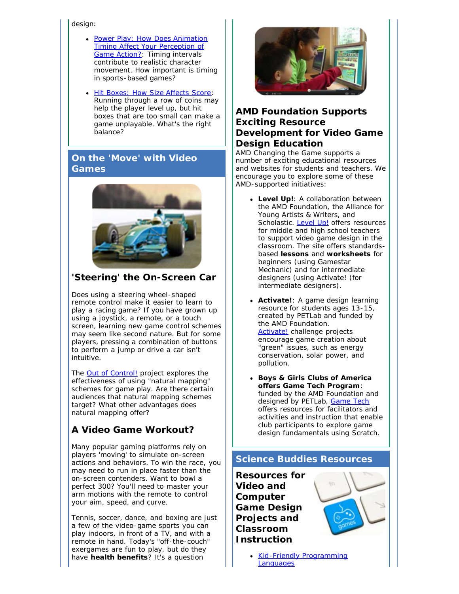#### design:

- [Power Play: How Does Animation](http://r20.rs6.net/tn.jsp?llr=yzhoezcab&et=1108939305674&s=2&e=001uGPiNoYP5E-uEyVz2tfG8pqgtGF3sd66EAKN0wHt9w4YGYoxlYlGChu6yf2I-48tNboJfyO-XRqP28ELPiAxyE_ANh8TF3Gtxa4LnCk43sODl7asuuqP1djVmZ3ilc2-M78MEZXtd-1_QG-Nni5Hz0ochDm2O_D7gwV2XFJt_cKTOaAVjcAO9lhbn7q4a9k3FklHMUrtsogr5BcwFf0wbzq8i5xI4naM) [Timing Affect Your Perception of](http://r20.rs6.net/tn.jsp?llr=yzhoezcab&et=1108939305674&s=2&e=001uGPiNoYP5E-uEyVz2tfG8pqgtGF3sd66EAKN0wHt9w4YGYoxlYlGChu6yf2I-48tNboJfyO-XRqP28ELPiAxyE_ANh8TF3Gtxa4LnCk43sODl7asuuqP1djVmZ3ilc2-M78MEZXtd-1_QG-Nni5Hz0ochDm2O_D7gwV2XFJt_cKTOaAVjcAO9lhbn7q4a9k3FklHMUrtsogr5BcwFf0wbzq8i5xI4naM) [Game Action?:](http://r20.rs6.net/tn.jsp?llr=yzhoezcab&et=1108939305674&s=2&e=001uGPiNoYP5E-uEyVz2tfG8pqgtGF3sd66EAKN0wHt9w4YGYoxlYlGChu6yf2I-48tNboJfyO-XRqP28ELPiAxyE_ANh8TF3Gtxa4LnCk43sODl7asuuqP1djVmZ3ilc2-M78MEZXtd-1_QG-Nni5Hz0ochDm2O_D7gwV2XFJt_cKTOaAVjcAO9lhbn7q4a9k3FklHMUrtsogr5BcwFf0wbzq8i5xI4naM) Timing intervals contribute to realistic character movement. *How important is timing in sports-based games?*
- [Hit Boxes: How Size Affects Score:](http://r20.rs6.net/tn.jsp?llr=yzhoezcab&et=1108939305674&s=2&e=001uGPiNoYP5E9KZ-1wyJZ5Omb5bk0VfNaWxiUXE85hUxI3YQCVXT5Xj9IwAVRUZ5RHJq7BUPlyZor5uhRiQpA8VeZXSGKYkSmO3t-NbGbVlwUAl0s9a9BdYnR9LGclAaWt5fDoov0Cn56uU88pV6tKRLuMJM1mJiuXEg5A9NPdCjkX_qKLZlhxel5BLBxlNEcETb6AG6WNsOo52vdhkLSpnfwK4yat6f5E) Running through a row of coins may help the player level up, but hit boxes that are too small can make a game unplayable. *What's the right balance?*

### **On the 'Move' with Video Games**



## **'Steering' the On-Screen Car**

*Does using a steering wheel-shaped remote control make it easier to learn to play a racing game?* If you have grown up using a joystick, a remote, or a touch screen, learning new game control schemes may seem like second nature. But for some players, pressing a combination of buttons to perform a jump or drive a car isn't intuitive.

The **[Out of Control!](http://r20.rs6.net/tn.jsp?llr=yzhoezcab&et=1108939305674&s=2&e=001uGPiNoYP5E9oxtDJ8Sg4wxebh2ysi7DVlUqbMHGVy3R-MicuHOlL9R5cvimNMqQM8pNrxOfAfFUB7g9vHshkdEAhSeT6uAl16H_ndhPyrDfJZNR8hA8iz-S3Grh7X5HfK66UGp9BHnAYhzydpchyAKRQYtbPgXXD9-wdD4MhyVCDBso74pNaxXnqfNXRtGRhYVeLol4d2A-7k69BA_dafCI189N-EgSI)** project explores the effectiveness of using "natural mapping" schemes for game play. *Are there certain audiences that natural mapping schemes target? What other advantages does natural mapping offer?*

# **A Video Game Workout?**

Many popular gaming platforms rely on players 'moving' to simulate on-screen actions and behaviors. To win the race, you may need to run in place faster than the on-screen contenders. Want to bowl a perfect 300? You'll need to master your arm motions with the remote to control your aim, speed, and curve.

Tennis, soccer, dance, and boxing are just a few of the video-game sports you can play indoors, in front of a TV, and with a remote in hand. Today's "off-the-couch" *exergames* are fun to play, but do they have **health benefits**? It's a question



### **AMD Foundation Supports Exciting Resource Development for Video Game Design Education**

AMD Changing the Game supports a number of exciting educational resources and websites for students and teachers. We encourage you to explore some of these AMD-supported initiatives:

- **Level Up!**: A collaboration between the AMD Foundation, the Alliance for Young Artists & Writers, and Scholastic. [Level Up!](http://r20.rs6.net/tn.jsp?llr=yzhoezcab&et=1108939305674&s=2&e=001uGPiNoYP5E_u9TEYxp7MHO3RZotSR7is-dS4IjCnTJG3Z5V_byyxnDgZaa2fABJKTjnG0rBT15dptcp8D1fKSvSs471x7ROJtjfd8NdHR8wOWhEyfYT5nk6HB8gNZy-m1O53L1pYM7I=) offers resources for middle and high school teachers to support video game design in the classroom. The site offers standardsbased **lessons** and **worksheets** for beginners (using Gamestar Mechanic) and for intermediate designers (using Activate! (for intermediate designers).
- **Activate!**: A game design learning resource for students ages 13-15, created by PETLab and funded by the AMD Foundation. [Activate!](http://r20.rs6.net/tn.jsp?llr=yzhoezcab&et=1108939305674&s=2&e=001uGPiNoYP5E_U9GiKoqx1dfL7kv6PKJqAQGuCmK2ztykS8zoJspJrHWRsYGHLlxN_WP7f8YwwB3ELuni2f_kgz8CfyCdbqlpdJwSXv_ZYQlMZtYcH4HDzQg==) challenge projects encourage game creation about "green" issues, such as energy conservation, solar power, and pollution.
- **Boys & Girls Clubs of America offers Game Tech Program**: funded by the AMD Foundation and designed by PETLab, [Game Tech](http://r20.rs6.net/tn.jsp?llr=yzhoezcab&et=1108939305674&s=2&e=001uGPiNoYP5E9eymTVx4fY2JhY9GYSDvmcQFRBVjecxOVfTdAiPJwpdwO6Mgf4OtGaCtFReYTql5k5Xy8HVwAUV63YXZ8P10f11Kz4KnS56Q8eqS2cWkuUwtcrTZ3ljnI_BsOM9B8KBkV82USrRNCFrV5OUoQ3AF6b) offers resources for facilitators and activities and instruction that enable club participants to explore game design fundamentals using Scratch.

## **Science Buddies Resources**

**Resources for Video and Computer Game Design Projects and Classroom Instruction**



• [Kid-Friendly Programming](http://r20.rs6.net/tn.jsp?llr=yzhoezcab&et=1108939305674&s=2&e=001uGPiNoYP5E-zvd181LOi7bI6hmt4Auujtga2LWLCQ0UUnAIpjgK2aW4xhXnEPhVOjRFmMVmFZ_QiP3uCgaiX01_ol6xC2jCdYsyBURS8ZIeGlAuJs4mczA8jzS4FWztEarKB1-vow-5iBwlG2n91QWv6wYORxjsshd2AuLsUvvT1gyIrTtb53YCPr-LzQwlj9oT4fa2zcyZEJsKdAE_M4KCiAtQmRsbtehnkQ5YaAkk=) **[Languages](http://r20.rs6.net/tn.jsp?llr=yzhoezcab&et=1108939305674&s=2&e=001uGPiNoYP5E-zvd181LOi7bI6hmt4Auujtga2LWLCQ0UUnAIpjgK2aW4xhXnEPhVOjRFmMVmFZ_QiP3uCgaiX01_ol6xC2jCdYsyBURS8ZIeGlAuJs4mczA8jzS4FWztEarKB1-vow-5iBwlG2n91QWv6wYORxjsshd2AuLsUvvT1gyIrTtb53YCPr-LzQwlj9oT4fa2zcyZEJsKdAE_M4KCiAtQmRsbtehnkQ5YaAkk=)**